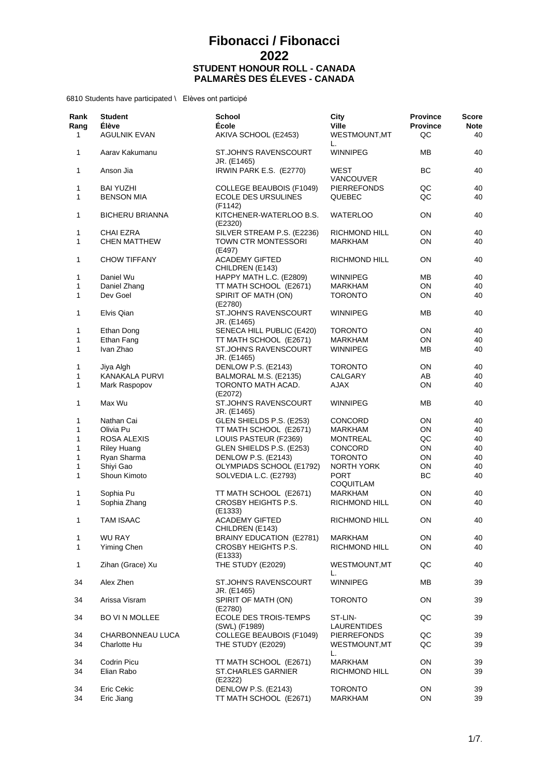| Rank<br>Rang<br>$\mathbf{1}$ | <b>Student</b><br><b>Élève</b><br><b>AGULNIK EVAN</b> | <b>School</b><br>École<br>AKIVA SCHOOL (E2453)                 | City<br><b>Ville</b><br>WESTMOUNT, MT | <b>Province</b><br><b>Province</b><br>QC | Score<br><b>Note</b><br>40 |
|------------------------------|-------------------------------------------------------|----------------------------------------------------------------|---------------------------------------|------------------------------------------|----------------------------|
|                              |                                                       |                                                                | L.                                    |                                          |                            |
| 1                            | Aarav Kakumanu                                        | ST.JOHN'S RAVENSCOURT<br>JR. (E1465)                           | <b>WINNIPEG</b>                       | MВ                                       | 40                         |
| 1                            | Anson Jia                                             | IRWIN PARK E.S. (E2770)                                        | WEST<br><b>VANCOUVER</b>              | BС                                       | 40                         |
| 1                            | <b>BAI YUZHI</b>                                      | COLLEGE BEAUBOIS (F1049)                                       | <b>PIERREFONDS</b>                    | QC                                       | 40                         |
| 1                            | <b>BENSON MIA</b>                                     | <b>ECOLE DES URSULINES</b><br>(F1142)                          | QUEBEC                                | QC                                       | 40                         |
| 1                            | <b>BICHERU BRIANNA</b>                                | KITCHENER-WATERLOO B.S.<br>(E2320)                             | <b>WATERLOO</b>                       | OΝ                                       | 40                         |
| 1                            | CHAI EZRA                                             | SILVER STREAM P.S. (E2236)                                     | RICHMOND HILL                         | ON                                       | 40                         |
| 1                            | <b>CHEN MATTHEW</b>                                   | TOWN CTR MONTESSORI<br>(E497)                                  | <b>MARKHAM</b>                        | ON                                       | 40                         |
| 1                            | <b>CHOW TIFFANY</b>                                   | <b>ACADEMY GIFTED</b><br>CHILDREN (E143)                       | RICHMOND HILL                         | ON                                       | 40                         |
| 1                            | Daniel Wu                                             | HAPPY MATH L.C. (E2809)                                        | WINNIPEG                              | MВ                                       | 40                         |
| 1                            | Daniel Zhang                                          | TT MATH SCHOOL (E2671)                                         | MARKHAM                               | ON                                       | 40                         |
| 1                            | Dev Goel                                              | SPIRIT OF MATH (ON)<br>(E2780)                                 | <b>TORONTO</b>                        | ON                                       | 40                         |
| 1                            | Elvis Qian                                            | ST.JOHN'S RAVENSCOURT<br>JR. (E1465)                           | <b>WINNIPEG</b>                       | MВ                                       | 40                         |
| 1                            | Ethan Dong                                            | SENECA HILL PUBLIC (E420)                                      | <b>TORONTO</b>                        | ON                                       | 40                         |
| 1                            | Ethan Fang                                            | TT MATH SCHOOL (E2671)                                         | <b>MARKHAM</b>                        | ON                                       | 40                         |
| 1                            | Ivan Zhao                                             | ST.JOHN'S RAVENSCOURT<br>JR. (E1465)                           | WINNIPEG                              | MВ                                       | 40                         |
| 1                            | Jiya Algh                                             | DENLOW P.S. (E2143)                                            | <b>TORONTO</b>                        | ΟN                                       | 40                         |
| $\mathbf{1}$                 | <b>KANAKALA PURVI</b>                                 | BALMORAL M.S. (E2135)                                          | CALGARY                               | AB                                       | 40                         |
| 1                            | Mark Raspopov                                         | TORONTO MATH ACAD.<br>(E2072)                                  | <b>AJAX</b>                           | ON                                       | 40                         |
| 1                            | Max Wu                                                | ST.JOHN'S RAVENSCOURT<br>JR. (E1465)                           | WINNIPEG                              | ΜВ                                       | 40                         |
| 1                            | Nathan Cai                                            | GLEN SHIELDS P.S. (E253)                                       | <b>CONCORD</b>                        | ΟN                                       | 40                         |
| 1                            | Olivia Pu                                             | TT MATH SCHOOL (E2671)                                         | MARKHAM                               | ON                                       | 40                         |
| 1                            | ROSA ALEXIS                                           | LOUIS PASTEUR (F2369)                                          | <b>MONTREAL</b>                       | QC                                       | 40                         |
| 1                            | <b>Riley Huang</b>                                    | GLEN SHIELDS P.S. (E253)                                       | <b>CONCORD</b>                        | ON                                       | 40                         |
| 1                            | Ryan Sharma                                           | DENLOW P.S. (E2143)                                            | <b>TORONTO</b>                        | ON                                       | 40                         |
| 1                            | Shiyi Gao                                             | OLYMPIADS SCHOOL (E1792)                                       | <b>NORTH YORK</b>                     | ON                                       | 40                         |
| $\mathbf{1}$                 | Shoun Kimoto                                          | SOLVEDIA L.C. (E2793)                                          | <b>PORT</b><br>COQUITLAM              | BC                                       | 40                         |
| 1                            | Sophia Pu                                             | TT MATH SCHOOL (E2671)                                         | <b>MARKHAM</b>                        | ON                                       | 40                         |
| 1                            | Sophia Zhang                                          | CROSBY HEIGHTS P.S.<br>(E1333)                                 | RICHMOND HILL                         | ON                                       | 40                         |
| 1                            | <b>TAM ISAAC</b>                                      | <b>ACADEMY GIFTED</b><br>CHILDREN (E143)                       | <b>RICHMOND HILL</b>                  | OΝ                                       | 40                         |
| 1<br>1                       | <b>WU RAY</b><br>Yiming Chen                          | <b>BRAINY EDUCATION (E2781)</b><br>CROSBY HEIGHTS P.S.         | MARKHAM<br>RICHMOND HILL              | ΟN<br>ON                                 | 40<br>40                   |
| 1                            | Zihan (Grace) Xu                                      | (E1333)<br>THE STUDY (E2029)                                   | WESTMOUNT, MT                         | QC                                       | 40                         |
| 34                           | Alex Zhen                                             | ST.JOHN'S RAVENSCOURT                                          | L.<br><b>WINNIPEG</b>                 | ΜВ                                       | 39                         |
| 34                           | Arissa Visram                                         | JR. (E1465)<br>SPIRIT OF MATH (ON)                             | <b>TORONTO</b>                        | ON                                       | 39                         |
| 34                           | BO VI N MOLLEE                                        | (E2780)<br><b>ECOLE DES TROIS-TEMPS</b>                        | ST-LIN-                               | QC                                       | 39                         |
|                              |                                                       | (SWL) (F1989)                                                  | <b>LAURENTIDES</b>                    |                                          |                            |
| 34<br>34                     | CHARBONNEAU LUCA<br>Charlotte Hu                      | <b>COLLEGE BEAUBOIS (F1049)</b><br>THE STUDY (E2029)           | <b>PIERREFONDS</b><br>WESTMOUNT, MT   | QC<br>QC                                 | 39<br>39                   |
|                              |                                                       |                                                                | L.                                    |                                          |                            |
| 34<br>34                     | Codrin Picu<br>Elian Rabo                             | TT MATH SCHOOL (E2671)<br><b>ST.CHARLES GARNIER</b><br>(E2322) | <b>MARKHAM</b><br>RICHMOND HILL       | ON<br>ON                                 | 39<br>39                   |
| 34<br>34                     | Eric Cekic<br>Eric Jiang                              | DENLOW P.S. (E2143)<br>TT MATH SCHOOL (E2671)                  | <b>TORONTO</b><br><b>MARKHAM</b>      | ON<br>ON                                 | 39<br>39                   |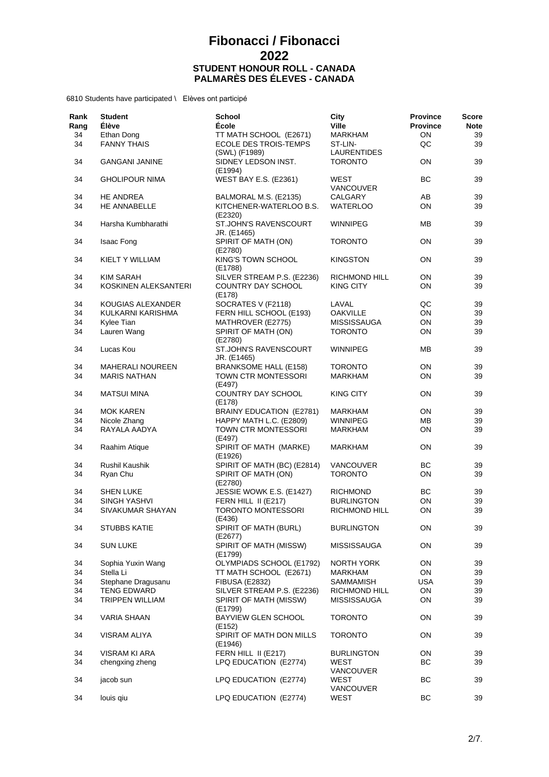| Rank<br>Rang | <b>Student</b><br><b>Élève</b>   | <b>School</b><br>École                                 | City<br><b>Ville</b>      | <b>Province</b><br><b>Province</b> | Score<br><b>Note</b> |
|--------------|----------------------------------|--------------------------------------------------------|---------------------------|------------------------------------|----------------------|
| 34<br>34     | Ethan Dong<br><b>FANNY THAIS</b> | TT MATH SCHOOL (E2671)<br><b>ECOLE DES TROIS-TEMPS</b> | <b>MARKHAM</b><br>ST-LIN- | ON<br>QC                           | 39<br>39             |
|              |                                  | (SWL) (F1989)                                          | LAURENTIDES               |                                    |                      |
| 34           | <b>GANGANI JANINE</b>            | SIDNEY LEDSON INST.<br>(E1994)                         | <b>TORONTO</b>            | ON                                 | 39                   |
| 34           | <b>GHOLIPOUR NIMA</b>            | <b>WEST BAY E.S. (E2361)</b>                           | WEST<br><b>VANCOUVER</b>  | ВC                                 | 39                   |
| 34           | HE ANDREA                        | BALMORAL M.S. (E2135)                                  | CALGARY                   | AB                                 | 39                   |
| 34           | <b>HE ANNABELLE</b>              | KITCHENER-WATERLOO B.S.<br>(E2320)                     | <b>WATERLOO</b>           | <b>ON</b>                          | 39                   |
| 34           | Harsha Kumbharathi               | ST.JOHN'S RAVENSCOURT<br>JR. (E1465)                   | <b>WINNIPEG</b>           | MВ                                 | 39                   |
| 34           | Isaac Fong                       | SPIRIT OF MATH (ON)<br>(E2780)                         | <b>TORONTO</b>            | <b>ON</b>                          | 39                   |
| 34           | KIELT Y WILLIAM                  | KING'S TOWN SCHOOL<br>(E1788)                          | <b>KINGSTON</b>           | ON                                 | 39                   |
| 34           | <b>KIM SARAH</b>                 | SILVER STREAM P.S. (E2236)                             | RICHMOND HILL             | ON                                 | 39                   |
| 34           | KOSKINEN ALEKSANTERI             | COUNTRY DAY SCHOOL<br>(E178)                           | <b>KING CITY</b>          | ON                                 | 39                   |
| 34           | KOUGIAS ALEXANDER                | SOCRATES V (F2118)                                     | LAVAL                     | QC                                 | 39                   |
| 34           | KULKARNI KARISHMA                | FERN HILL SCHOOL (E193)                                | <b>OAKVILLE</b>           | ON                                 | 39                   |
| 34           | Kylee Tian                       | MATHROVER (E2775)                                      | <b>MISSISSAUGA</b>        | ON                                 | 39                   |
| 34           | Lauren Wang                      | SPIRIT OF MATH (ON)<br>(E2780)                         | <b>TORONTO</b>            | <b>ON</b>                          | 39                   |
| 34           | Lucas Kou                        | ST.JOHN'S RAVENSCOURT<br>JR. (E1465)                   | WINNIPEG                  | ΜВ                                 | 39                   |
| 34           | <b>MAHERALI NOUREEN</b>          | <b>BRANKSOME HALL (E158)</b>                           | <b>TORONTO</b>            | ON                                 | 39                   |
| 34           | <b>MARIS NATHAN</b>              | TOWN CTR MONTESSORI<br>(E497)                          | <b>MARKHAM</b>            | <b>ON</b>                          | 39                   |
| 34           | <b>MATSUI MINA</b>               | COUNTRY DAY SCHOOL<br>(E178)                           | <b>KING CITY</b>          | ON                                 | 39                   |
| 34           | <b>MOK KAREN</b>                 | <b>BRAINY EDUCATION (E2781)</b>                        | MARKHAM                   | ON                                 | 39                   |
| 34           | Nicole Zhang                     | HAPPY MATH L.C. (E2809)                                | <b>WINNIPEG</b>           | MВ                                 | 39                   |
| 34           | RAYALA AADYA                     | TOWN CTR MONTESSORI<br>(E497)                          | MARKHAM                   | ON                                 | 39                   |
| 34           | Raahim Atique                    | SPIRIT OF MATH (MARKE)<br>(E1926)                      | <b>MARKHAM</b>            | ON                                 | 39                   |
| 34           | Rushil Kaushik                   | SPIRIT OF MATH (BC) (E2814)                            | <b>VANCOUVER</b>          | ВC                                 | 39                   |
| 34           | Ryan Chu                         | SPIRIT OF MATH (ON)<br>(E2780)                         | <b>TORONTO</b>            | ON                                 | 39                   |
| 34           | <b>SHEN LUKE</b>                 | JESSIE WOWK E.S. (E1427)                               | <b>RICHMOND</b>           | BС                                 | 39                   |
| 34           | <b>SINGH YASHVI</b>              | FERN HILL II (E217)                                    | <b>BURLINGTON</b>         | ON                                 | 39                   |
| 34           | SIVAKUMAR SHAYAN                 | TORONTO MONTESSORI<br>(E436)                           | <b>RICHMOND HILL</b>      | ON                                 | 39                   |
| 34           | STUBBS KATIE                     | SPIRIT OF MATH (BURL)<br>(E2677)                       | <b>BURLINGTON</b>         | ON                                 | 39                   |
| 34           | <b>SUN LUKE</b>                  | SPIRIT OF MATH (MISSW)<br>(E1799)                      | MISSISSAUGA               | ON                                 | 39                   |
| 34           | Sophia Yuxin Wang                | OLYMPIADS SCHOOL (E1792)                               | <b>NORTH YORK</b>         | ON                                 | 39                   |
| 34           | Stella Li                        | TT MATH SCHOOL (E2671)                                 | MARKHAM                   | ON                                 | 39                   |
| 34           | Stephane Dragusanu               | <b>FIBUSA (E2832)</b>                                  | SAMMAMISH                 | <b>USA</b>                         | 39                   |
| 34           | <b>TENG EDWARD</b>               | SILVER STREAM P.S. (E2236)                             | RICHMOND HILL             | ON                                 | 39                   |
| 34           | <b>TRIPPEN WILLIAM</b>           | SPIRIT OF MATH (MISSW)<br>(E1799)                      | <b>MISSISSAUGA</b>        | ON                                 | 39                   |
| 34           | <b>VARIA SHAAN</b>               | BAYVIEW GLEN SCHOOL<br>(E152)                          | <b>TORONTO</b>            | ON                                 | 39                   |
| 34           | VISRAM ALIYA                     | SPIRIT OF MATH DON MILLS<br>(E1946)                    | <b>TORONTO</b>            | ON                                 | 39                   |
| 34           | VISRAM KI ARA                    | FERN HILL II (E217)                                    | <b>BURLINGTON</b>         | ON                                 | 39                   |
| 34           | chengxing zheng                  | LPQ EDUCATION (E2774)                                  | WEST<br><b>VANCOUVER</b>  | BC                                 | 39                   |
| 34           | jacob sun                        | LPQ EDUCATION (E2774)                                  | WEST<br><b>VANCOUVER</b>  | BС                                 | 39                   |
| 34           | louis qiu                        | LPQ EDUCATION (E2774)                                  | WEST                      | BC                                 | 39                   |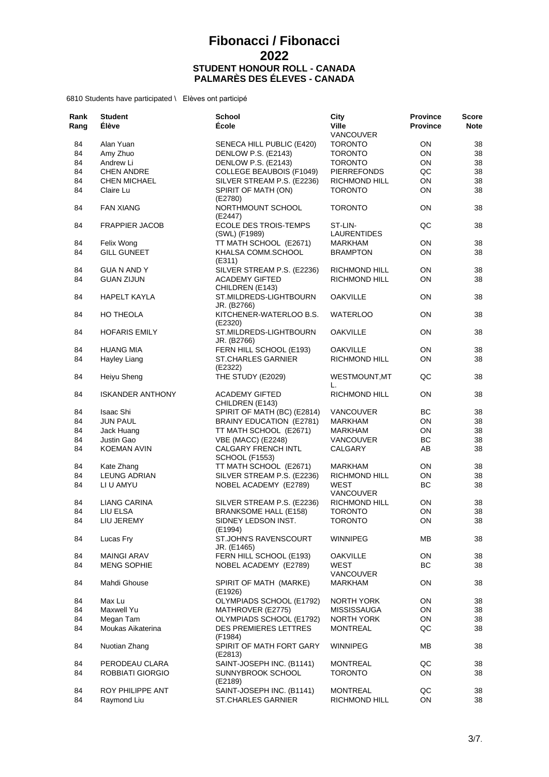| Rank<br>Rang | <b>Student</b><br><b>Élève</b> | School<br>École                                     | City<br><b>Ville</b>          | <b>Province</b><br><b>Province</b> | <b>Score</b><br><b>Note</b> |
|--------------|--------------------------------|-----------------------------------------------------|-------------------------------|------------------------------------|-----------------------------|
|              | Alan Yuan                      | SENECA HILL PUBLIC (E420)                           | VANCOUVER<br><b>TORONTO</b>   | ON                                 |                             |
| 84<br>84     |                                |                                                     |                               | ON                                 | 38<br>38                    |
|              | Amy Zhuo                       | DENLOW P.S. (E2143)                                 | <b>TORONTO</b>                |                                    |                             |
| 84           | Andrew Li                      | DENLOW P.S. (E2143)                                 | <b>TORONTO</b>                | ON                                 | 38                          |
| 84           | <b>CHEN ANDRE</b>              | <b>COLLEGE BEAUBOIS (F1049)</b>                     | <b>PIERREFONDS</b>            | QC                                 | 38                          |
| 84           | <b>CHEN MICHAEL</b>            | SILVER STREAM P.S. (E2236)                          | RICHMOND HILL                 | ON                                 | 38                          |
| 84           | Claire Lu                      | SPIRIT OF MATH (ON)                                 | <b>TORONTO</b>                | ON                                 | 38                          |
| 84           | <b>FAN XIANG</b>               | (E2780)<br>NORTHMOUNT SCHOOL<br>(E2447)             | <b>TORONTO</b>                | <b>ON</b>                          | 38                          |
| 84           | <b>FRAPPIER JACOB</b>          | <b>ECOLE DES TROIS-TEMPS</b><br>(SWL) (F1989)       | ST-LIN-<br><b>LAURENTIDES</b> | QC                                 | 38                          |
| 84           | Felix Wong                     | TT MATH SCHOOL (E2671)                              | <b>MARKHAM</b>                | ON                                 | 38                          |
| 84           | <b>GILL GUNEET</b>             | KHALSA COMM.SCHOOL<br>(E311)                        | <b>BRAMPTON</b>               | ON                                 | 38                          |
| 84           | <b>GUA N AND Y</b>             | SILVER STREAM P.S. (E2236)                          | <b>RICHMOND HILL</b>          | ON                                 | 38                          |
| 84           | <b>GUAN ZIJUN</b>              | <b>ACADEMY GIFTED</b>                               | <b>RICHMOND HILL</b>          | ON                                 | 38                          |
| 84           | <b>HAPELT KAYLA</b>            | CHILDREN (E143)<br>ST.MILDREDS-LIGHTBOURN           | <b>OAKVILLE</b>               | ON                                 | 38                          |
|              |                                | JR. (B2766)                                         |                               |                                    |                             |
| 84           | HO THEOLA                      | KITCHENER-WATERLOO B.S.<br>(E2320)                  | <b>WATERLOO</b>               | ON                                 | 38                          |
| 84           | <b>HOFARIS EMILY</b>           | ST.MILDREDS-LIGHTBOURN<br>JR. (B2766)               | <b>OAKVILLE</b>               | ON                                 | 38                          |
| 84           | <b>HUANG MIA</b>               | FERN HILL SCHOOL (E193)                             | <b>OAKVILLE</b>               | ON                                 | 38                          |
| 84           | Hayley Liang                   | <b>ST.CHARLES GARNIER</b><br>(E2322)                | RICHMOND HILL                 | ON                                 | 38                          |
| 84           | Heiyu Sheng                    | THE STUDY (E2029)                                   | WESTMOUNT, MT<br>L.           | QC                                 | 38                          |
| 84           | <b>ISKANDER ANTHONY</b>        | <b>ACADEMY GIFTED</b><br>CHILDREN (E143)            | RICHMOND HILL                 | ON                                 | 38                          |
| 84           | Isaac Shi                      | SPIRIT OF MATH (BC) (E2814)                         | <b>VANCOUVER</b>              | BС                                 | 38                          |
| 84           | JUN PAUL                       | BRAINY EDUCATION (E2781)                            | MARKHAM                       | ON                                 | 38                          |
| 84           | Jack Huang                     | TT MATH SCHOOL (E2671)                              | MARKHAM                       | ON                                 | 38                          |
| 84           | Justin Gao                     | VBE (MACC) (E2248)                                  | <b>VANCOUVER</b>              | BС                                 | 38                          |
| 84           | KOEMAN AVIN                    | <b>CALGARY FRENCH INTL</b><br><b>SCHOOL (F1553)</b> | CALGARY                       | AB                                 | 38                          |
| 84           | Kate Zhang                     | TT MATH SCHOOL (E2671)                              | MARKHAM                       | ON                                 | 38                          |
| 84           | <b>LEUNG ADRIAN</b>            | SILVER STREAM P.S. (E2236)                          | RICHMOND HILL                 | ON                                 | 38                          |
| 84           | LI U AMYU                      | NOBEL ACADEMY (E2789)                               | WEST<br><b>VANCOUVER</b>      | BC                                 | 38                          |
| 84           | <b>LIANG CARINA</b>            | SILVER STREAM P.S. (E2236)                          | <b>RICHMOND HILL</b>          | ΟN                                 | 38                          |
| 84           | LIU ELSA                       | <b>BRANKSOME HALL (E158)</b>                        | <b>TORONTO</b>                | ON                                 | 38                          |
| 84           | LIU JEREMY                     | SIDNEY LEDSON INST.<br>(E1994)                      | <b>TORONTO</b>                | ON                                 | 38                          |
| 84           | Lucas Fry                      | ST.JOHN'S RAVENSCOURT<br>JR. (E1465)                | WINNIPEG                      | ΜВ                                 | 38                          |
| 84           | <b>MAINGI ARAV</b>             | FERN HILL SCHOOL (E193)                             | <b>OAKVILLE</b>               | ON                                 | 38                          |
| 84           | <b>MENG SOPHIE</b>             | NOBEL ACADEMY (E2789)                               | WEST<br><b>VANCOUVER</b>      | <b>BC</b>                          | 38                          |
| 84           | Mahdi Ghouse                   | SPIRIT OF MATH (MARKE)<br>(E1926)                   | <b>MARKHAM</b>                | ON                                 | 38                          |
| 84           | Max Lu                         | OLYMPIADS SCHOOL (E1792)                            | NORTH YORK                    | ON                                 | 38                          |
| 84           | Maxwell Yu                     | MATHROVER (E2775)                                   | MISSISSAUGA                   | ON                                 | 38                          |
| 84           | Megan Tam                      | OLYMPIADS SCHOOL (E1792)                            | NORTH YORK                    | ON                                 | 38                          |
| 84           | Moukas Aikaterina              | <b>DES PREMIERES LETTRES</b><br>(F1984)             | <b>MONTREAL</b>               | QC                                 | 38                          |
| 84           | Nuotian Zhang                  | SPIRIT OF MATH FORT GARY<br>(E2813)                 | <b>WINNIPEG</b>               | ΜВ                                 | 38                          |
| 84           | PERODEAU CLARA                 | SAINT-JOSEPH INC. (B1141)                           | MONTREAL                      | QC                                 | 38                          |
| 84           | ROBBIATI GIORGIO               | SUNNYBROOK SCHOOL<br>(E2189)                        | <b>TORONTO</b>                | ON                                 | 38                          |
| 84           | ROY PHILIPPE ANT               | SAINT-JOSEPH INC. (B1141)                           | <b>MONTREAL</b>               | QC                                 | 38                          |
| 84           | Raymond Liu                    | <b>ST.CHARLES GARNIER</b>                           | RICHMOND HILL                 | ON                                 | 38                          |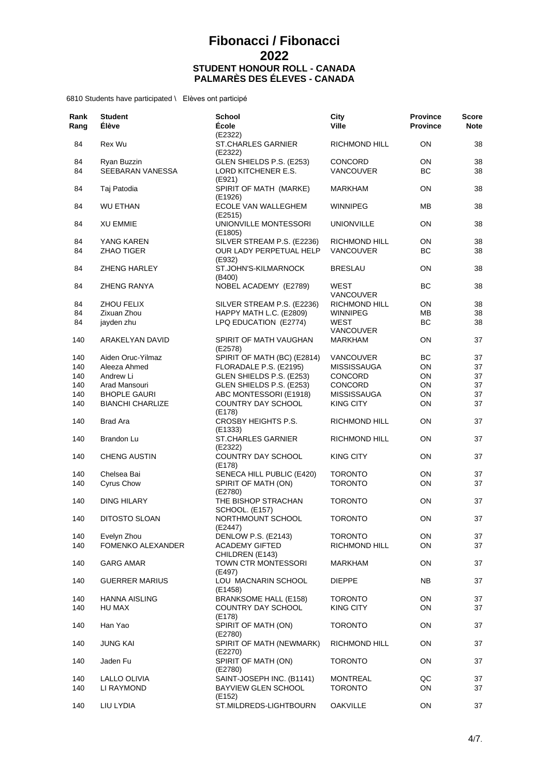| Rank<br>Rang | <b>Student</b><br><b>Élève</b> | <b>School</b><br>École                                  | City<br><b>Ville</b>       | <b>Province</b><br><b>Province</b> | <b>Score</b><br><b>Note</b> |
|--------------|--------------------------------|---------------------------------------------------------|----------------------------|------------------------------------|-----------------------------|
| 84           | Rex Wu                         | (E2322)<br><b>ST.CHARLES GARNIER</b><br>(E2322)         | RICHMOND HILL              | ON                                 | 38                          |
| 84           | Ryan Buzzin                    | GLEN SHIELDS P.S. (E253)                                | <b>CONCORD</b>             | ON                                 | 38                          |
| 84           | SEEBARAN VANESSA               | LORD KITCHENER E.S.<br>(E921)                           | VANCOUVER                  | ВC                                 | 38                          |
| 84           | Taj Patodia                    | SPIRIT OF MATH (MARKE)<br>(E1926)                       | MARKHAM                    | ON                                 | 38                          |
| 84           | WU ETHAN                       | ECOLE VAN WALLEGHEM<br>(E2515)                          | <b>WINNIPEG</b>            | ΜВ                                 | 38                          |
| 84           | <b>XU EMMIE</b>                | UNIONVILLE MONTESSORI<br>(E1805)                        | <b>UNIONVILLE</b>          | ON                                 | 38                          |
| 84           | YANG KAREN                     | SILVER STREAM P.S. (E2236)                              | RICHMOND HILL              | ON                                 | 38                          |
| 84           | ZHAO TIGER                     | OUR LADY PERPETUAL HELP<br>(E932)                       | <b>VANCOUVER</b>           | BC                                 | 38                          |
| 84           | <b>ZHENG HARLEY</b>            | ST.JOHN'S-KILMARNOCK<br>(B400)                          | <b>BRESLAU</b>             | ON                                 | 38                          |
| 84           | <b>ZHENG RANYA</b>             | NOBEL ACADEMY (E2789)                                   | WEST<br><b>VANCOUVER</b>   | BC                                 | 38                          |
| 84           | <b>ZHOU FELIX</b>              | SILVER STREAM P.S. (E2236)                              | RICHMOND HILL              | ON                                 | 38                          |
| 84           | Zixuan Zhou                    | HAPPY MATH L.C. (E2809)                                 | <b>WINNIPEG</b>            | ΜВ                                 | 38                          |
| 84           | jayden zhu                     | LPQ EDUCATION (E2774)                                   | WEST<br><b>VANCOUVER</b>   | BC                                 | 38                          |
| 140          | ARAKELYAN DAVID                | SPIRIT OF MATH VAUGHAN<br>(E2578)                       | <b>MARKHAM</b>             | ON                                 | 37                          |
| 140          | Aiden Oruc-Yilmaz              | SPIRIT OF MATH (BC) (E2814)                             | <b>VANCOUVER</b>           | BС                                 | 37                          |
| 140          | Aleeza Ahmed                   | FLORADALE P.S. (E2195)                                  | MISSISSAUGA                | ON                                 | 37                          |
| 140          | Andrew Li                      | GLEN SHIELDS P.S. (E253)                                | <b>CONCORD</b>             | ON                                 | 37                          |
| 140          | Arad Mansouri                  | GLEN SHIELDS P.S. (E253)                                | <b>CONCORD</b>             | ON                                 | 37                          |
| 140          | <b>BHOPLE GAURI</b>            | ABC MONTESSORI (E1918)                                  | <b>MISSISSAUGA</b>         | ON                                 | 37                          |
| 140          | <b>BIANCHI CHARLIZE</b>        | COUNTRY DAY SCHOOL                                      | <b>KING CITY</b>           | ON                                 | 37                          |
|              |                                | (E178)                                                  |                            |                                    |                             |
| 140          | <b>Brad Ara</b>                | CROSBY HEIGHTS P.S.<br>(E1333)                          | RICHMOND HILL              | ON                                 | 37                          |
| 140          | Brandon Lu                     | <b>ST.CHARLES GARNIER</b><br>(E2322)                    | RICHMOND HILL              | ON                                 | 37                          |
| 140          | <b>CHENG AUSTIN</b>            | COUNTRY DAY SCHOOL<br>(E178)                            | <b>KING CITY</b>           | ON                                 | 37                          |
| 140          | Chelsea Bai                    | SENECA HILL PUBLIC (E420)                               | <b>TORONTO</b>             | ON                                 | 37                          |
| 140          | <b>Cyrus Chow</b>              | SPIRIT OF MATH (ON)<br>(E2780)                          | <b>TORONTO</b>             | ON                                 | 37                          |
| 140          | <b>DING HILARY</b>             | THE BISHOP STRACHAN<br><b>SCHOOL. (E157)</b>            | <b>TORONTO</b>             | ON                                 | 37                          |
| 140          | DITOSTO SLOAN                  | NORTHMOUNT SCHOOL<br>(E2447)                            | <b>TORONTO</b>             | ON                                 | 37                          |
| 140          | Evelyn Zhou                    | DENLOW P.S. (E2143)                                     | <b>TORONTO</b>             | ON                                 | 37                          |
| 140          | <b>FOMENKO ALEXANDER</b>       | <b>ACADEMY GIFTED</b><br>CHILDREN (E143)                | RICHMOND HILL              | ON                                 | 37                          |
| 140          | <b>GARG AMAR</b>               | TOWN CTR MONTESSORI<br>(E497)                           | MARKHAM                    | ON                                 | 37                          |
| 140          | <b>GUERRER MARIUS</b>          | LOU MACNARIN SCHOOL<br>(E1458)                          | <b>DIEPPE</b>              | NB.                                | 37                          |
| 140          | <b>HANNA AISLING</b>           | <b>BRANKSOME HALL (E158)</b>                            | <b>TORONTO</b>             | ON                                 | 37                          |
| 140          | HU MAX                         | COUNTRY DAY SCHOOL                                      | <b>KING CITY</b>           | ON                                 | 37                          |
| 140          | Han Yao                        | (E178)<br>SPIRIT OF MATH (ON)                           | <b>TORONTO</b>             | ON                                 | 37                          |
| 140          | <b>JUNG KAI</b>                | (E2780)<br>SPIRIT OF MATH (NEWMARK)                     | RICHMOND HILL              | ON                                 | 37                          |
| 140          | Jaden Fu                       | (E2270)<br>SPIRIT OF MATH (ON)                          | <b>TORONTO</b>             | ON                                 | 37                          |
|              |                                | (E2780)                                                 |                            |                                    |                             |
| 140<br>140   | LALLO OLIVIA<br>LI RAYMOND     | SAINT-JOSEPH INC. (B1141)<br><b>BAYVIEW GLEN SCHOOL</b> | MONTREAL<br><b>TORONTO</b> | QC<br>ON                           | 37<br>37                    |
| 140          | LIU LYDIA                      | (E152)<br>ST.MILDREDS-LIGHTBOURN                        | <b>OAKVILLE</b>            | ON                                 | 37                          |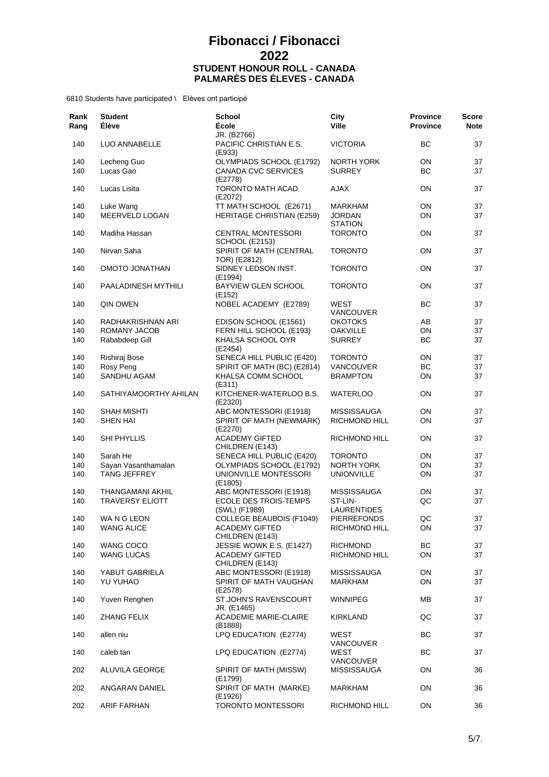| Rank<br>Rang | <b>Student</b><br><b>Élève</b> | <b>School</b><br><b>École</b>                      | City<br>Ville                 | <b>Province</b><br><b>Province</b> | <b>Score</b><br><b>Note</b> |
|--------------|--------------------------------|----------------------------------------------------|-------------------------------|------------------------------------|-----------------------------|
| 140          | LUO ANNABELLE                  | JR. (B2766)<br>PACIFIC CHRISTIAN E.S.<br>(E933)    | <b>VICTORIA</b>               | ВC                                 | 37                          |
| 140          | Lecheng Guo                    | OLYMPIADS SCHOOL (E1792)                           | <b>NORTH YORK</b>             | ON                                 | 37                          |
| 140          | Lucas Gao                      | CANADA CVC SERVICES<br>(E2778)                     | <b>SURREY</b>                 | ВC                                 | 37                          |
| 140          | Lucas Lisita                   | TORONTO MATH ACAD.<br>(E2072)                      | <b>AJAX</b>                   | ON                                 | 37                          |
| 140          | Luke Wang                      | TT MATH SCHOOL (E2671)                             | MARKHAM                       | ON                                 | 37                          |
| 140          | MEERVELD LOGAN                 | <b>HERITAGE CHRISTIAN (E259)</b>                   | <b>JORDAN</b>                 | ON                                 | 37                          |
|              |                                |                                                    | <b>STATION</b>                |                                    |                             |
| 140          | Madiha Hassan                  | <b>CENTRAL MONTESSORI</b><br><b>SCHOOL (E2153)</b> | <b>TORONTO</b>                | ON                                 | 37                          |
| 140          | Nirvan Saha                    | SPIRIT OF MATH (CENTRAL<br>TOR) (E2812)            | <b>TORONTO</b>                | ON                                 | 37                          |
| 140          | OMOTO JONATHAN                 | SIDNEY LEDSON INST.<br>(E1994)                     | <b>TORONTO</b>                | ON                                 | 37                          |
| 140          | PAALADINESH MYTHILI            | <b>BAYVIEW GLEN SCHOOL</b><br>(E152)               | <b>TORONTO</b>                | ON                                 | 37                          |
| 140          | QIN OWEN                       | NOBEL ACADEMY (E2789)                              | WEST<br><b>VANCOUVER</b>      | ВC                                 | 37                          |
| 140          | RADHAKRISHNAN ARI              | EDISON SCHOOL (E1561)                              | <b>OKOTOKS</b>                | AB                                 | 37                          |
| 140          | ROMANY JACOB                   | FERN HILL SCHOOL (E193)                            | <b>OAKVILLE</b>               | ON                                 | 37                          |
| 140          | Rababdeep Gill                 | KHALSA SCHOOL OYR                                  | <b>SURREY</b>                 | BC                                 | 37                          |
| 140          | Rishiraj Bose                  | (E2454)<br>SENECA HILL PUBLIC (E420)               | <b>TORONTO</b>                | ON                                 | 37                          |
| 140          | Rosy Peng                      | SPIRIT OF MATH (BC) (E2814)                        | VANCOUVER                     | BС                                 | 37                          |
| 140          | SANDHU AGAM                    | KHALSA COMM.SCHOOL                                 | <b>BRAMPTON</b>               | ON                                 | 37                          |
|              |                                | (E311)                                             |                               |                                    |                             |
| 140          | SATHIYAMOORTHY AHILAN          | KITCHENER-WATERLOO B.S.<br>(E2320)                 | WATERLOO                      | ON                                 | 37                          |
| 140          | <b>SHAH MISHTI</b>             | ABC MONTESSORI (E1918)                             | <b>MISSISSAUGA</b>            | ON                                 | 37                          |
| 140          | <b>SHEN HAI</b>                | SPIRIT OF MATH (NEWMARK)<br>(E2270)                | RICHMOND HILL                 | ON                                 | 37                          |
| 140          | <b>SHI PHYLLIS</b>             | <b>ACADEMY GIFTED</b><br>CHILDREN (E143)           | RICHMOND HILL                 | ON                                 | 37                          |
| 140          | Sarah He                       | SENECA HILL PUBLIC (E420)                          | <b>TORONTO</b>                | ON                                 | 37                          |
| 140          | Sayan Vasanthamalan            | OLYMPIADS SCHOOL (E1792)                           | NORTH YORK                    | ON                                 | 37                          |
| 140          | <b>TANG JEFFREY</b>            | UNIONVILLE MONTESSORI<br>(E1805)                   | <b>UNIONVILLE</b>             | ON                                 | 37                          |
| 140          | THANGAMANI AKHIL               | ABC MONTESSORI (E1918)                             | <b>MISSISSAUGA</b>            | ON                                 | 37                          |
| 140          | <b>TRAVERSY ELIOTT</b>         | <b>ECOLE DES TROIS-TEMPS</b><br>(SWL) (F1989)      | ST-LIN-<br><b>LAURENTIDES</b> | QC                                 | 37                          |
| 140          | WA N G LEON                    | <b>COLLEGE BEAUBOIS (F1049)</b>                    | <b>PIERREFONDS</b>            | QC                                 | 37                          |
| 140          | WANG ALICE                     | <b>ACADEMY GIFTED</b><br>CHILDREN (E143)           | RICHMOND HILL                 | ON.                                | 37                          |
| 140          | WANG COCO                      | JESSIE WOWK E.S. (E1427)                           | <b>RICHMOND</b>               | <b>BC</b>                          | 37                          |
| 140          | <b>WANG LUCAS</b>              | <b>ACADEMY GIFTED</b><br>CHILDREN (E143)           | RICHMOND HILL                 | ON                                 | 37                          |
| 140          | YABUT GABRIELA                 | ABC MONTESSORI (E1918)                             | <b>MISSISSAUGA</b>            | ON                                 | 37                          |
| 140          | YU YUHAO                       | SPIRIT OF MATH VAUGHAN<br>(E2578)                  | <b>MARKHAM</b>                | ON.                                | 37                          |
| 140          | Yuven Renghen                  | ST.JOHN'S RAVENSCOURT<br>JR. (E1465)               | <b>WINNIPEG</b>               | ΜВ                                 | 37                          |
| 140          | <b>ZHANG FELIX</b>             | <b>ACADEMIE MARIE-CLAIRE</b><br>(B1888)            | KIRKLAND                      | QC                                 | 37                          |
| 140          | allen niu                      | LPQ EDUCATION (E2774)                              | WEST<br>VANCOUVER             | ВC                                 | 37                          |
| 140          | caleb tan                      | LPQ EDUCATION (E2774)                              | WEST<br>VANCOUVER             | ВC                                 | 37                          |
| 202          | ALUVILA GEORGE                 | SPIRIT OF MATH (MISSW)<br>(E1799)                  | MISSISSAUGA                   | ON                                 | 36                          |
| 202          | ANGARAN DANIEL                 | SPIRIT OF MATH (MARKE)<br>(E1926)                  | MARKHAM                       | ON                                 | 36                          |
| 202          | <b>ARIF FARHAN</b>             | <b>TORONTO MONTESSORI</b>                          | RICHMOND HILL                 | ON                                 | 36                          |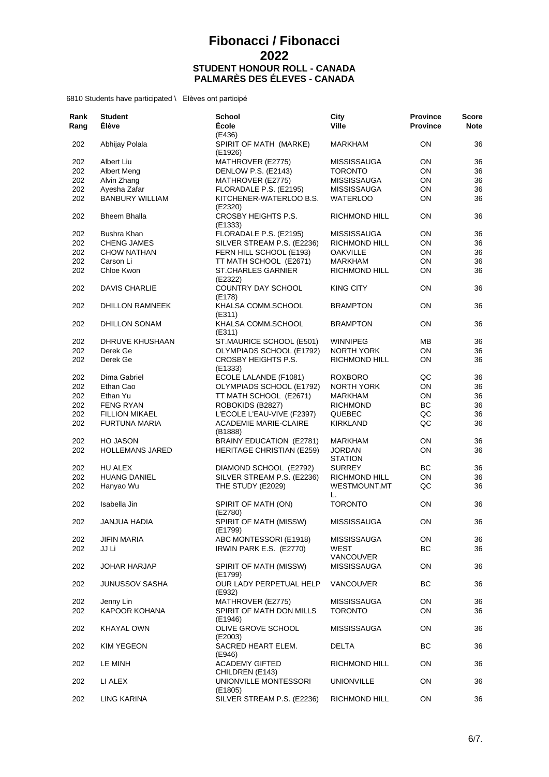| Rank<br>Rang | <b>Student</b><br>Élève | <b>School</b><br>École                       | City<br><b>Ville</b>            | <b>Province</b><br><b>Province</b> | Score<br><b>Note</b> |
|--------------|-------------------------|----------------------------------------------|---------------------------------|------------------------------------|----------------------|
| 202          | Abhijay Polala          | (E436)<br>SPIRIT OF MATH (MARKE)<br>(E1926)  | <b>MARKHAM</b>                  | ON                                 | 36                   |
| 202          | Albert Liu              | MATHROVER (E2775)                            | MISSISSAUGA                     | ON                                 | 36                   |
| 202          | Albert Meng             | DENLOW P.S. (E2143)                          | <b>TORONTO</b>                  | ON                                 | 36                   |
| 202          | Alvin Zhang             | MATHROVER (E2775)                            | <b>MISSISSAUGA</b>              | ON                                 | 36                   |
| 202          | Ayesha Zafar            | FLORADALE P.S. (E2195)                       | <b>MISSISSAUGA</b>              | ON                                 | 36                   |
| 202          | <b>BANBURY WILLIAM</b>  | KITCHENER-WATERLOO B.S.                      | <b>WATERLOO</b>                 | ON                                 | 36                   |
| 202          | <b>Bheem Bhalla</b>     | (E2320)<br>CROSBY HEIGHTS P.S.<br>(E1333)    | RICHMOND HILL                   | ON                                 | 36                   |
| 202          | Bushra Khan             | FLORADALE P.S. (E2195)                       | <b>MISSISSAUGA</b>              | ON                                 | 36                   |
| 202          | <b>CHENG JAMES</b>      | SILVER STREAM P.S. (E2236)                   | RICHMOND HILL                   | ON                                 | 36                   |
| 202          | <b>CHOW NATHAN</b>      | FERN HILL SCHOOL (E193)                      | <b>OAKVILLE</b>                 | ON                                 | 36                   |
| 202          |                         |                                              |                                 |                                    |                      |
| 202          | Carson Li<br>Chloe Kwon | TT MATH SCHOOL (E2671)<br>ST.CHARLES GARNIER | MARKHAM<br>RICHMOND HILL        | ON<br>ON                           | 36<br>36             |
| 202          | DAVIS CHARLIE           | (E2322)<br>COUNTRY DAY SCHOOL                | <b>KING CITY</b>                | ON                                 | 36                   |
| 202          | <b>DHILLON RAMNEEK</b>  | (E178)<br>KHALSA COMM.SCHOOL                 | <b>BRAMPTON</b>                 | ON                                 | 36                   |
| 202          | DHILLON SONAM           | (E311)<br>KHALSA COMM.SCHOOL                 | <b>BRAMPTON</b>                 | ON                                 | 36                   |
| 202          | DHRUVE KHUSHAAN         | (E311)<br>ST.MAURICE SCHOOL (E501)           | <b>WINNIPEG</b>                 | ΜВ                                 | 36                   |
|              |                         |                                              |                                 |                                    |                      |
| 202          | Derek Ge                | OLYMPIADS SCHOOL (E1792)                     | NORTH YORK                      | ON                                 | 36                   |
| 202          | Derek Ge                | CROSBY HEIGHTS P.S.<br>(E1333)               | RICHMOND HILL                   | ON                                 | 36                   |
| 202          | Dima Gabriel            | ECOLE LALANDE (F1081)                        | <b>ROXBORO</b>                  | QC                                 | 36                   |
| 202          | Ethan Cao               | OLYMPIADS SCHOOL (E1792)                     | NORTH YORK                      | ON                                 | 36                   |
| 202          | Ethan Yu                | TT MATH SCHOOL (E2671)                       | MARKHAM                         | ON                                 | 36                   |
| 202          | <b>FENG RYAN</b>        | ROBOKIDS (B2827)                             | <b>RICHMOND</b>                 | BC                                 | 36                   |
| 202          | <b>FILLION MIKAEL</b>   | L'ECOLE L'EAU-VIVE (F2397)                   | QUEBEC                          | QC                                 | 36                   |
| 202          | <b>FURTUNA MARIA</b>    | <b>ACADEMIE MARIE-CLAIRE</b><br>(B1888)      | <b>KIRKLAND</b>                 | QC                                 | 36                   |
| 202          | HO JASON                | BRAINY EDUCATION (E2781)                     | MARKHAM                         | ON                                 | 36                   |
| 202          | <b>HOLLEMANS JARED</b>  | <b>HERITAGE CHRISTIAN (E259)</b>             | <b>JORDAN</b><br><b>STATION</b> | ON                                 | 36                   |
|              | HU ALEX                 |                                              |                                 | BС                                 |                      |
| 202          |                         | DIAMOND SCHOOL (E2792)                       | <b>SURREY</b>                   |                                    | 36                   |
| 202          | <b>HUANG DANIEL</b>     | SILVER STREAM P.S. (E2236)                   | RICHMOND HILL                   | ON                                 | 36                   |
| 202          | Hanyao Wu               | THE STUDY (E2029)                            | WESTMOUNT, MT<br>L.             | QC                                 | 36                   |
| 202          | Isabella Jin            | SPIRIT OF MATH (ON)<br>(E2780)               | <b>TORONTO</b>                  | ON                                 | 36                   |
| 202          | JANJUA HADIA            | SPIRIT OF MATH (MISSW)<br>(E1799)            | MISSISSAUGA                     | ON                                 | 36                   |
| 202          | <b>JIFIN MARIA</b>      | ABC MONTESSORI (E1918)                       | MISSISSAUGA                     | ON                                 | 36                   |
| 202          | JJ Li                   | IRWIN PARK E.S. (E2770)                      | WEST                            | ВC                                 | 36                   |
| 202          | <b>JOHAR HARJAP</b>     | SPIRIT OF MATH (MISSW)                       | VANCOUVER<br>MISSISSAUGA        | ON.                                | 36                   |
|              |                         | (E1799)                                      |                                 |                                    |                      |
| 202          | <b>JUNUSSOV SASHA</b>   | OUR LADY PERPETUAL HELP<br>(E932)            | <b>VANCOUVER</b>                | BС                                 | 36                   |
| 202          | Jenny Lin               | MATHROVER (E2775)                            | MISSISSAUGA                     | ON.                                | 36                   |
| 202          | KAPOOR KOHANA           | SPIRIT OF MATH DON MILLS<br>(E1946)          | <b>TORONTO</b>                  | ON                                 | 36                   |
| 202          | KHAYAL OWN              | OLIVE GROVE SCHOOL<br>(E2003)                | MISSISSAUGA                     | ON                                 | 36                   |
| 202          | KIM YEGEON              | SACRED HEART ELEM.<br>(E946)                 | DELTA                           | ВC                                 | 36                   |
| 202          | LE MINH                 | <b>ACADEMY GIFTED</b><br>CHILDREN (E143)     | RICHMOND HILL                   | ON                                 | 36                   |
| 202          | LI ALEX                 | UNIONVILLE MONTESSORI<br>(E1805)             | <b>UNIONVILLE</b>               | ON                                 | 36                   |
| 202          | LING KARINA             | SILVER STREAM P.S. (E2236)                   | RICHMOND HILL                   | ON                                 | 36                   |